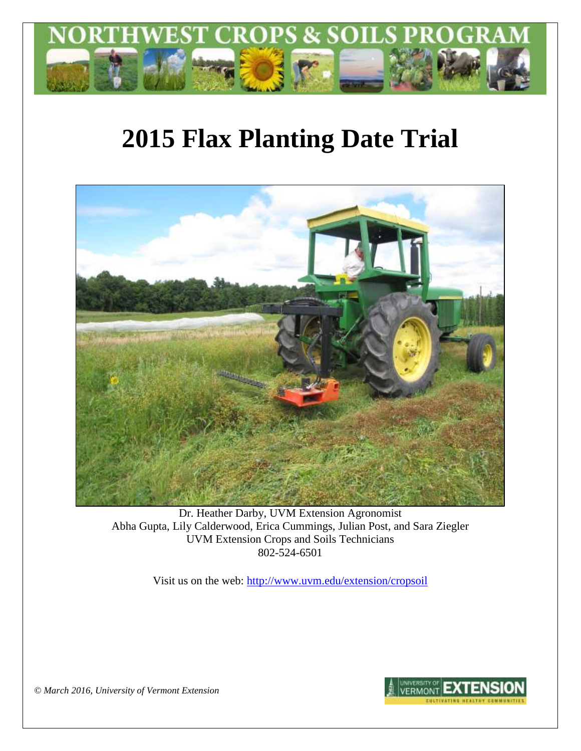

# **2015 Flax Planting Date Trial**



Dr. Heather Darby, UVM Extension Agronomist Abha Gupta, Lily Calderwood, Erica Cummings, Julian Post, and Sara Ziegler UVM Extension Crops and Soils Technicians 802-524-6501

Visit us on the web: <http://www.uvm.edu/extension/cropsoil>



*© March 2016, University of Vermont Extension*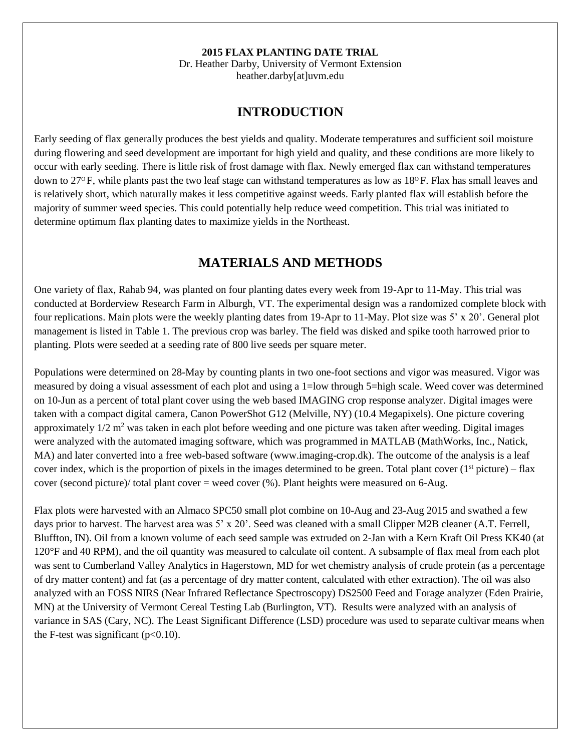#### **2015 FLAX PLANTING DATE TRIAL**

Dr. Heather Darby, University of Vermont Extension heather.darby[at]uvm.edu

#### **INTRODUCTION**

Early seeding of flax generally produces the best yields and quality. Moderate temperatures and sufficient soil moisture during flowering and seed development are important for high yield and quality, and these conditions are more likely to occur with early seeding. There is little risk of frost damage with flax. Newly emerged flax can withstand temperatures down to  $27^{\circ}$  F, while plants past the two leaf stage can withstand temperatures as low as  $18^{\circ}$  F. Flax has small leaves and is relatively short, which naturally makes it less competitive against weeds. Early planted flax will establish before the majority of summer weed species. This could potentially help reduce weed competition. This trial was initiated to determine optimum flax planting dates to maximize yields in the Northeast.

### **MATERIALS AND METHODS**

One variety of flax, Rahab 94, was planted on four planting dates every week from 19-Apr to 11-May. This trial was conducted at Borderview Research Farm in Alburgh, VT. The experimental design was a randomized complete block with four replications. Main plots were the weekly planting dates from 19-Apr to 11-May. Plot size was 5' x 20'. General plot management is listed in Table 1. The previous crop was barley. The field was disked and spike tooth harrowed prior to planting. Plots were seeded at a seeding rate of 800 live seeds per square meter.

Populations were determined on 28-May by counting plants in two one-foot sections and vigor was measured. Vigor was measured by doing a visual assessment of each plot and using a 1=low through 5=high scale. Weed cover was determined on 10-Jun as a percent of total plant cover using the web based IMAGING crop response analyzer. Digital images were taken with a compact digital camera, Canon PowerShot G12 (Melville, NY) (10.4 Megapixels). One picture covering approximately  $1/2$  m<sup>2</sup> was taken in each plot before weeding and one picture was taken after weeding. Digital images were analyzed with the automated imaging software, which was programmed in MATLAB (MathWorks, Inc., Natick, MA) and later converted into a free web-based software (www.imaging-crop.dk). The outcome of the analysis is a leaf cover index, which is the proportion of pixels in the images determined to be green. Total plant cover  $(1<sup>st</sup> picture) - flux$ cover (second picture)/ total plant cover = weed cover  $(\%)$ . Plant heights were measured on 6-Aug.

Flax plots were harvested with an Almaco SPC50 small plot combine on 10-Aug and 23-Aug 2015 and swathed a few days prior to harvest. The harvest area was 5' x 20'. Seed was cleaned with a small Clipper M2B cleaner (A.T. Ferrell, Bluffton, IN). Oil from a known volume of each seed sample was extruded on 2-Jan with a Kern Kraft Oil Press KK40 (at 120°F and 40 RPM), and the oil quantity was measured to calculate oil content. A subsample of flax meal from each plot was sent to Cumberland Valley Analytics in Hagerstown, MD for wet chemistry analysis of crude protein (as a percentage of dry matter content) and fat (as a percentage of dry matter content, calculated with ether extraction). The oil was also analyzed with an FOSS NIRS (Near Infrared Reflectance Spectroscopy) DS2500 Feed and Forage analyzer (Eden Prairie, MN) at the University of Vermont Cereal Testing Lab (Burlington, VT). Results were analyzed with an analysis of variance in SAS (Cary, NC). The Least Significant Difference (LSD) procedure was used to separate cultivar means when the F-test was significant  $(p<0.10)$ .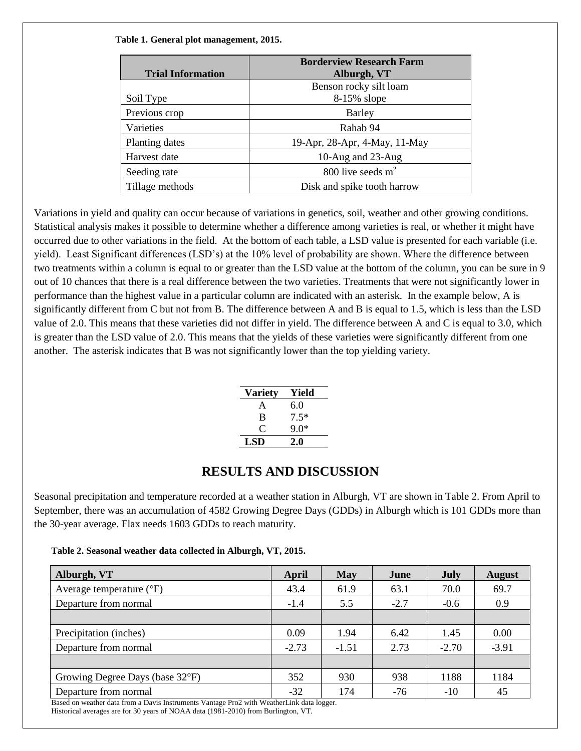|                          | <b>Borderview Research Farm</b> |  |  |
|--------------------------|---------------------------------|--|--|
| <b>Trial Information</b> | Alburgh, VT                     |  |  |
|                          | Benson rocky silt loam          |  |  |
| Soil Type                | $8-15\%$ slope                  |  |  |
| Previous crop            | Barley                          |  |  |
| Varieties                | Rahab 94                        |  |  |
| Planting dates           | 19-Apr, 28-Apr, 4-May, 11-May   |  |  |
| Harvest date             | 10-Aug and 23-Aug               |  |  |
| Seeding rate             | 800 live seeds $m2$             |  |  |
| Tillage methods          | Disk and spike tooth harrow     |  |  |

**Table 1. General plot management, 2015.**

Variations in yield and quality can occur because of variations in genetics, soil, weather and other growing conditions. Statistical analysis makes it possible to determine whether a difference among varieties is real, or whether it might have occurred due to other variations in the field. At the bottom of each table, a LSD value is presented for each variable (i.e. yield). Least Significant differences (LSD's) at the 10% level of probability are shown. Where the difference between two treatments within a column is equal to or greater than the LSD value at the bottom of the column, you can be sure in 9 out of 10 chances that there is a real difference between the two varieties. Treatments that were not significantly lower in performance than the highest value in a particular column are indicated with an asterisk. In the example below, A is significantly different from C but not from B. The difference between A and B is equal to 1.5, which is less than the LSD value of 2.0. This means that these varieties did not differ in yield. The difference between A and C is equal to 3.0, which is greater than the LSD value of 2.0. This means that the yields of these varieties were significantly different from one another. The asterisk indicates that B was not significantly lower than the top yielding variety.

| <b>Variety</b> | Yield  |
|----------------|--------|
| A              | 6.0    |
| B              | $7.5*$ |
| €              | $9.0*$ |
| LSD            | 2.0    |

## **RESULTS AND DISCUSSION**

Seasonal precipitation and temperature recorded at a weather station in Alburgh, VT are shown in Table 2. From April to September, there was an accumulation of 4582 Growing Degree Days (GDDs) in Alburgh which is 101 GDDs more than the 30-year average. Flax needs 1603 GDDs to reach maturity.

**Table 2. Seasonal weather data collected in Alburgh, VT, 2015.**

| Alburgh, VT                                                                               | April   | <b>May</b> | June   | July    | <b>August</b> |
|-------------------------------------------------------------------------------------------|---------|------------|--------|---------|---------------|
| Average temperature $({}^{\circ}F)$                                                       | 43.4    | 61.9       | 63.1   | 70.0    | 69.7          |
| Departure from normal                                                                     | $-1.4$  | 5.5        | $-2.7$ | $-0.6$  | 0.9           |
|                                                                                           |         |            |        |         |               |
| Precipitation (inches)                                                                    | 0.09    | 1.94       | 6.42   | 1.45    | 0.00          |
| Departure from normal                                                                     | $-2.73$ | $-1.51$    | 2.73   | $-2.70$ | $-3.91$       |
|                                                                                           |         |            |        |         |               |
| Growing Degree Days (base 32°F)                                                           | 352     | 930        | 938    | 1188    | 1184          |
| Departure from normal                                                                     | $-32$   | 174        | $-76$  | $-10$   | 45            |
| Based on weather data from a Davis Instruments Vantage Pro2 with WeatherLink data logger. |         |            |        |         |               |

Historical averages are for 30 years of NOAA data (1981-2010) from Burlington, VT.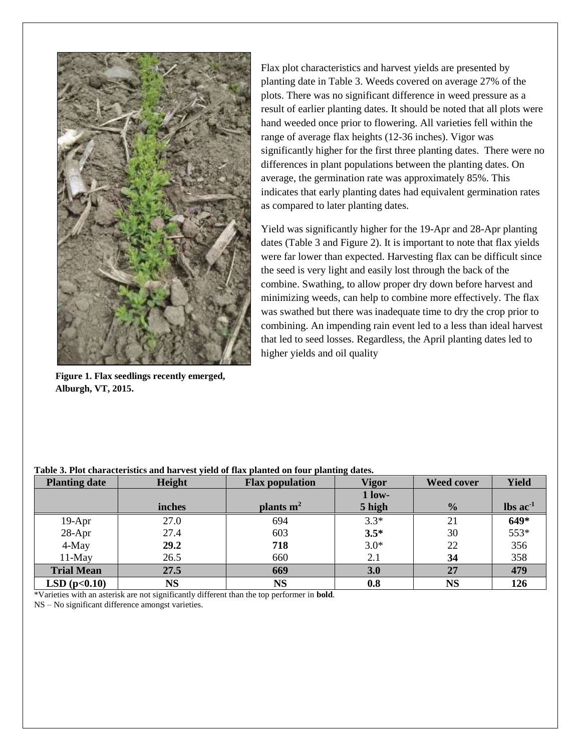

**Figure 1. Flax seedlings recently emerged, Alburgh, VT, 2015.** 

Flax plot characteristics and harvest yields are presented by planting date in Table 3. Weeds covered on average 27% of the plots. There was no significant difference in weed pressure as a result of earlier planting dates. It should be noted that all plots were hand weeded once prior to flowering. All varieties fell within the range of average flax heights (12-36 inches). Vigor was significantly higher for the first three planting dates. There were no differences in plant populations between the planting dates. On average, the germination rate was approximately 85%. This indicates that early planting dates had equivalent germination rates as compared to later planting dates.

Yield was significantly higher for the 19-Apr and 28-Apr planting dates (Table 3 and Figure 2). It is important to note that flax yields were far lower than expected. Harvesting flax can be difficult since the seed is very light and easily lost through the back of the combine. Swathing, to allow proper dry down before harvest and minimizing weeds, can help to combine more effectively. The flax was swathed but there was inadequate time to dry the crop prior to combining. An impending rain event led to a less than ideal harvest that led to seed losses. Regardless, the April planting dates led to higher yields and oil quality

| <b>Planting date</b> | Height | <b>Flax population</b> | <b>Vigor</b> | <b>Weed cover</b> | <b>Yield</b>                  |
|----------------------|--------|------------------------|--------------|-------------------|-------------------------------|
|                      |        |                        | $1$ low-     |                   |                               |
|                      | inches | plants $m2$            | 5 high       | $\frac{0}{0}$     | $\text{lbs}$ ac <sup>-1</sup> |
| 19-Apr               | 27.0   | 694                    | $3.3*$       | 21                | 649*                          |
| 28-Apr               | 27.4   | 603                    | $3.5*$       | 30                | 553*                          |
| 4-May                | 29.2   | 718                    | $3.0*$       | 22                | 356                           |
| 11-May               | 26.5   | 660                    | 2.1          | 34                | 358                           |
| <b>Trial Mean</b>    | 27.5   | 669                    | 3.0          | 27                | 479                           |
| LSD(p<0.10)          | NS     | <b>NS</b>              | 0.8          | <b>NS</b>         | 126                           |

#### **Table 3. Plot characteristics and harvest yield of flax planted on four planting dates.**

\*Varieties with an asterisk are not significantly different than the top performer in **bold**.

NS – No significant difference amongst varieties.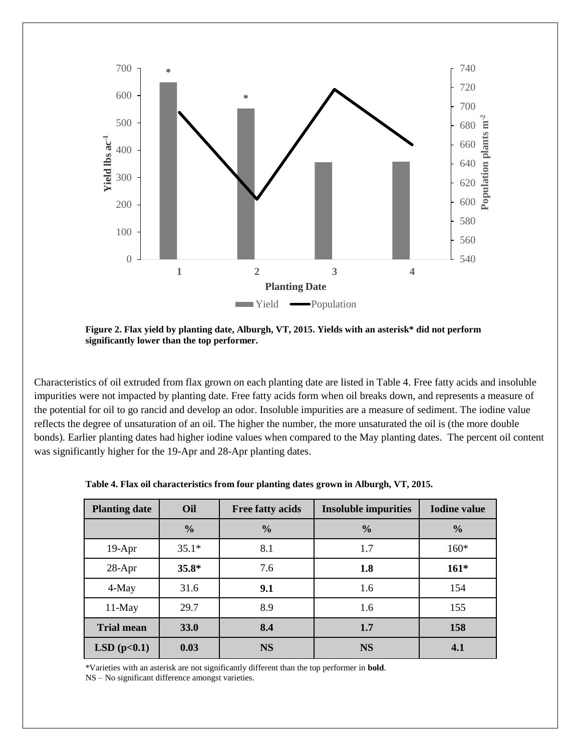

**Figure 2. Flax yield by planting date, Alburgh, VT, 2015. Yields with an asterisk\* did not perform significantly lower than the top performer.** 

Characteristics of oil extruded from flax grown on each planting date are listed in Table 4. Free fatty acids and insoluble impurities were not impacted by planting date. Free fatty acids form when oil breaks down, and represents a measure of the potential for oil to go rancid and develop an odor. Insoluble impurities are a measure of sediment. The iodine value reflects the degree of unsaturation of an oil. The higher the number, the more unsaturated the oil is (the more double bonds). Earlier planting dates had higher iodine values when compared to the May planting dates. The percent oil content was significantly higher for the 19-Apr and 28-Apr planting dates.

| <b>Planting date</b> | Oil           | <b>Free fatty acids</b> | <b>Insoluble impurities</b> | <b>Iodine value</b> |
|----------------------|---------------|-------------------------|-----------------------------|---------------------|
|                      | $\frac{0}{0}$ | $\frac{0}{0}$           | $\frac{0}{0}$               | $\frac{0}{0}$       |
| $19-Apr$             | $35.1*$       | 8.1                     | 1.7                         | $160*$              |
| $28-Apr$             | $35.8*$       | 7.6                     | 1.8                         | $161*$              |
| 4-May                | 31.6          | 9.1                     | 1.6                         | 154                 |
| $11$ -May            | 29.7          | 8.9                     | 1.6                         | 155                 |
| <b>Trial mean</b>    | 33.0          | 8.4                     | 1.7                         | 158                 |
| LSD(p<0.1)           | 0.03          | <b>NS</b>               | <b>NS</b>                   | 4.1                 |

**Table 4. Flax oil characteristics from four planting dates grown in Alburgh, VT, 2015.**

\*Varieties with an asterisk are not significantly different than the top performer in **bold**.

NS – No significant difference amongst varieties.